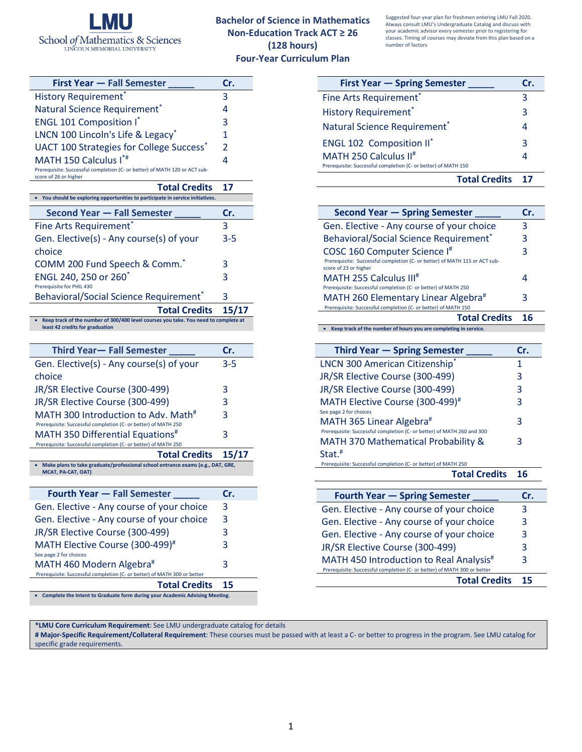

## **Bachelor of Science in Mathematics Non-Education Track ACT ≥ 26 (128 hours) Four-Year Curriculum Plan**

Suggested four-year plan for freshmen entering LMU Fall 2020. Always consult LMU's Undergraduate Catalog and discuss with your academic advisor every semester prior to registering for classes. Timing of courses may deviate from this plan based on a number of factors

| <b>First Year - Fall Semester</b>                                                                   |               |
|-----------------------------------------------------------------------------------------------------|---------------|
| <b>History Requirement</b> *                                                                        | 3             |
| Natural Science Requirement*                                                                        | 4             |
| <b>ENGL 101 Composition I*</b>                                                                      | 3             |
| LNCN 100 Lincoln's Life & Legacy*                                                                   | 1             |
| <b>UACT 100 Strategies for College Success</b> *                                                    | $\mathcal{P}$ |
| MATH 150 Calculus I*#                                                                               |               |
| Prerequisite: Successful completion (C- or better) of MATH 120 or ACT sub-<br>score of 26 or higher |               |

| <b>Total Credits</b>                                                                                                   | 17      |
|------------------------------------------------------------------------------------------------------------------------|---------|
| • You should be exploring opportunities to participate in service initiatives.                                         |         |
| <b>Second Year - Fall Semester</b>                                                                                     | Cr.     |
| Fine Arts Requirement*                                                                                                 | 3       |
| Gen. Elective(s) - Any course(s) of your                                                                               | $3 - 5$ |
| choice                                                                                                                 |         |
| COMM 200 Fund Speech & Comm."                                                                                          | 3       |
| ENGL 240, 250 or 260 <sup>*</sup>                                                                                      | 3       |
| Prerequisite for PHIL 430                                                                                              |         |
| Behavioral/Social Science Requirement <sup>®</sup>                                                                     | 3       |
| <b>Total Credits</b>                                                                                                   | 15/17   |
| Keep track of the number of 300/400 level courses you take. You need to complete at<br>least 42 credits for graduation |         |
|                                                                                                                        |         |

| Third Year- Fall Semester                                                       | Cr.   |
|---------------------------------------------------------------------------------|-------|
| Gen. Elective(s) - Any course(s) of your                                        | 3-5   |
| choice                                                                          |       |
| JR/SR Elective Course (300-499)                                                 | 3     |
| JR/SR Elective Course (300-499)                                                 | 3     |
| MATH 300 Introduction to Adv. Math <sup>#</sup>                                 | 3     |
| Prerequisite: Successful completion (C- or better) of MATH 250                  |       |
| MATH 350 Differential Equations <sup>#</sup>                                    | 3     |
| Prerequisite: Successful completion (C- or better) of MATH 250                  |       |
| <b>Total Credits</b>                                                            | 15/17 |
| Make plans to take graduate/professional school entrance exams (e.g., DAT, GRE, |       |
|                                                                                 |       |
| MCAT, PA-CAT, OAT)                                                              |       |
| <b>Fourth Year – Fall Semester</b>                                              | Cr.   |
| Gen. Elective - Any course of your choice                                       | 3     |
| Gen. Elective - Any course of your choice                                       | 3     |
| JR/SR Elective Course (300-499)                                                 | 3     |
| MATH Elective Course (300-499) <sup>#</sup>                                     | 3     |
| See page 2 for choices                                                          |       |
| MATH 460 Modern Algebra#                                                        | 3     |
| Prerequisite: Successful completion (C- or better) of MATH 300 or better        |       |

• **Complete the Intent to Graduate form during your Academic Advising Meeting.**

| <b>First Year - Spring Semester</b>                            | Cr. |
|----------------------------------------------------------------|-----|
| Fine Arts Requirement*                                         | З   |
| <b>History Requirement</b> *                                   | 3   |
| Natural Science Requirement <sup>*</sup>                       | 4   |
| <b>ENGL 102 Composition II</b> *                               | 3   |
| MATH 250 Calculus II <sup>#</sup>                              |     |
| Prerequisite: Successful completion (C- or better) of MATH 150 |     |
| <b>Total Credits</b>                                           |     |

| <b>Second Year - Spring Semester</b>                                                                                                            | Cr. |
|-------------------------------------------------------------------------------------------------------------------------------------------------|-----|
| Gen. Elective - Any course of your choice                                                                                                       | 3   |
| <b>Behavioral/Social Science Requirement</b> *                                                                                                  | 3   |
| COSC 160 Computer Science I <sup>#</sup><br>Prerequisite: Successful completion (C- or better) of MATH 115 or ACT sub-<br>score of 23 or higher | 3   |
| MATH 255 Calculus III <sup>#</sup>                                                                                                              | 4   |
| Prerequisite: Successful completion (C- or better) of MATH 250                                                                                  |     |
| MATH 260 Elementary Linear Algebra <sup>#</sup>                                                                                                 | 3   |
| Prerequisite: Successful completion (C- or better) of MATH 150                                                                                  |     |
| <b>Total Credits</b>                                                                                                                            |     |

• **Keep track of the number of hours you are completing in service.**

| <b>Third Year - Spring Semester</b>                                    | Cr. |
|------------------------------------------------------------------------|-----|
| LNCN 300 American Citizenship*                                         |     |
| JR/SR Elective Course (300-499)                                        | 3   |
| JR/SR Elective Course (300-499)                                        | 3   |
| MATH Elective Course (300-499) <sup>#</sup>                            | 3   |
| See page 2 for choices                                                 |     |
| MATH 365 Linear Algebra#                                               | 3   |
| Prerequisite: Successful completion (C- or better) of MATH 260 and 300 |     |
| <b>MATH 370 Mathematical Probability &amp;</b>                         | 3   |
| $Stat.*$                                                               |     |
| Prerequisite: Successful completion (C- or better) of MATH 250         |     |
| <b>Total Credits</b>                                                   |     |

| <b>Fourth Year - Spring Semester</b>                                     | Cr. |
|--------------------------------------------------------------------------|-----|
| Gen. Elective - Any course of your choice                                | 3   |
| Gen. Elective - Any course of your choice                                | 3   |
| Gen. Elective - Any course of your choice                                | 3   |
| JR/SR Elective Course (300-499)                                          | 3   |
| MATH 450 Introduction to Real Analysis <sup>#</sup>                      | 3   |
| Prerequisite: Successful completion (C- or better) of MATH 300 or better |     |
| <b>Total Credits</b>                                                     | 15  |

**\*LMU Core Curriculum Requirement**: See LMU undergraduate catalog for details

**# Major-Specific Requirement/Collateral Requirement**: These courses must be passed with at least a C- or better to progress in the program. See LMU catalog for specific grade requirements.